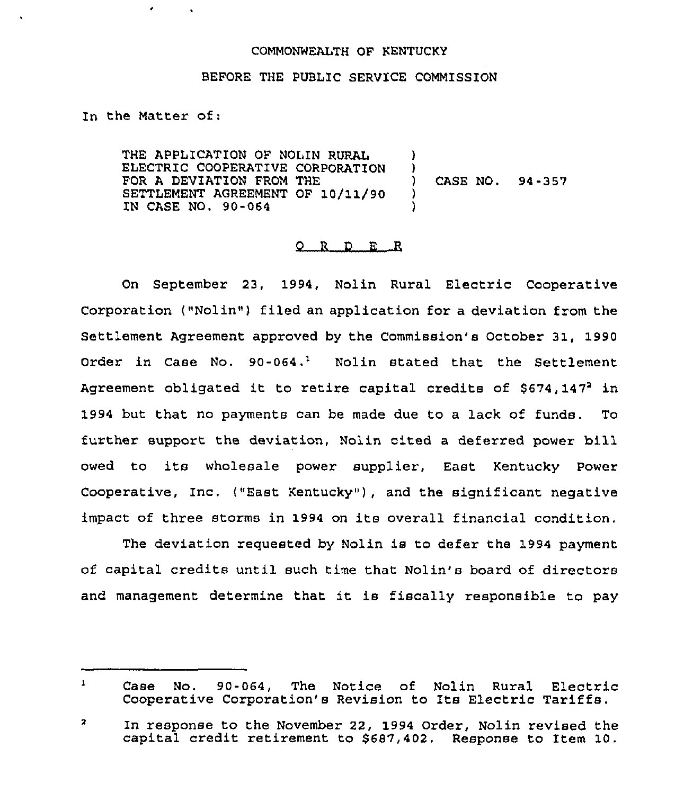## COMMONWEALTH OF KENTUCKY

## BEFORE THE PUBLIC SERVICE COMMISSION

In the Matter of:

٠

THE APPLICATION OF NOLIN RURAL ELECTRIC COOPERATIVE CORPORATION FOR A DEVIATION FROM THE SETTLEMENT AGREEMENT OF 10/11/90 IN CASE NO. 90-064 ) )<br>) ) CASE NO. 94-357 ) )

## 0 <sup>R</sup> <sup>D</sup> E R

On September 23, 1994, Nolin Rural Electric Cooperative Corporation ("Nolin") filed an application for a deviation from the Settlement Agreement approved by the Commission's October 31, 1990 Order in Case No.  $90-064$ .<sup>1</sup> Nolin stated that the Settlement Agreement obligated it to retire capital credits of  $$674,147^2$  in 1994 but that no payments can be made due to a lack of funds. To further support the deviation, Nolin cited a deferred power bill owed to its wholesale power supplier, East Kentucky Power Cooperative, Inc. {"East Kentucky" ), and the significant negative impact of three storms in 1994 on its overall financial condition.

The deviation requested by Nolin is to defer the 1994 payment of capital credits until such time that Nolin's board of directors and management determine that it is fiscally responsible to pay

 $\mathbf{1}$ Case No. 90-064, The Notice of Nolin Rural Electric Cooperative Corporation's Revision to Its Electric Tariffs.

 $\overline{\mathbf{z}}$ In response to the November 22, 1994 Order, Nolin revised the capital credit retirement to \$687,402. Response to Item 10.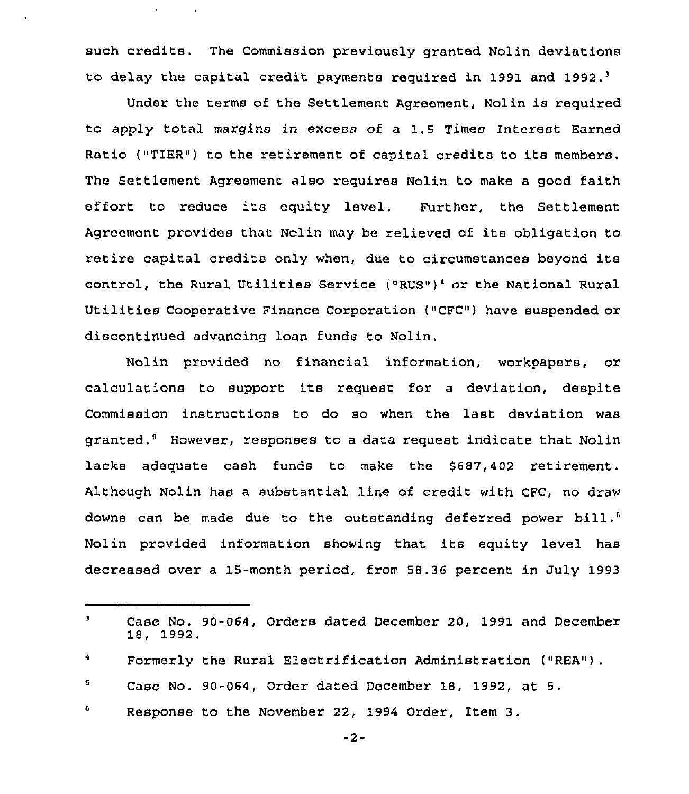such credits. The Commission previously granted Nolin deviations to delay the capital credit payments required in 1991 and 1992.<sup>3</sup>

 $\bar{\mathbf{v}}$ 

Under the terms of the Settlement Agreement, Nolin is required to apply total margins in excess of a 1.5 Times Interest Earned Ratio ("TIER") to the retirement of capital credits to its members. The Settlement Agreement also requires Nolin to make a good faith effort to reduce its equity level. Further, the Settlement Agreement provides that Nolin may be relieved of its obligation to retire capital credits only when, due to circumstances beyond its control, the Rural Utilities Service ("RUS")' or the National Rural Utilities Cooperative Finance Corporation ("CFC") have suspended or discontinued advancing loan funds to Nolin.

Nolin provided no financial information, workpapers, or calculations to support its request for <sup>a</sup> deviation, despite Commission instructions to do so when the last deviation was granted."'owever, responses to a data request indicate that Nolin lacks adequate cash funds to make the \$687,402 retirement. Although Nolin has a substantial line of credit with CFC, no draw downs can be made due to the outstanding deferred power bill.<sup>6</sup> Nolin provided information showing that its equity level has decreased over a 15-month period, from 58.36 percent in July 1993

- G. Case No. 90-064, Order dated December 18, 1992, at 5.
- 6 Response to the November 22, 1994 Order, Item 3.

 $-2-$ 

 $\mathbf{J}$ Case No. 90-064, Orders dated December 20, 1991 and December 18, 1992.

 $\blacktriangleleft$ Formerly the Rural Electrification Administration ("REA")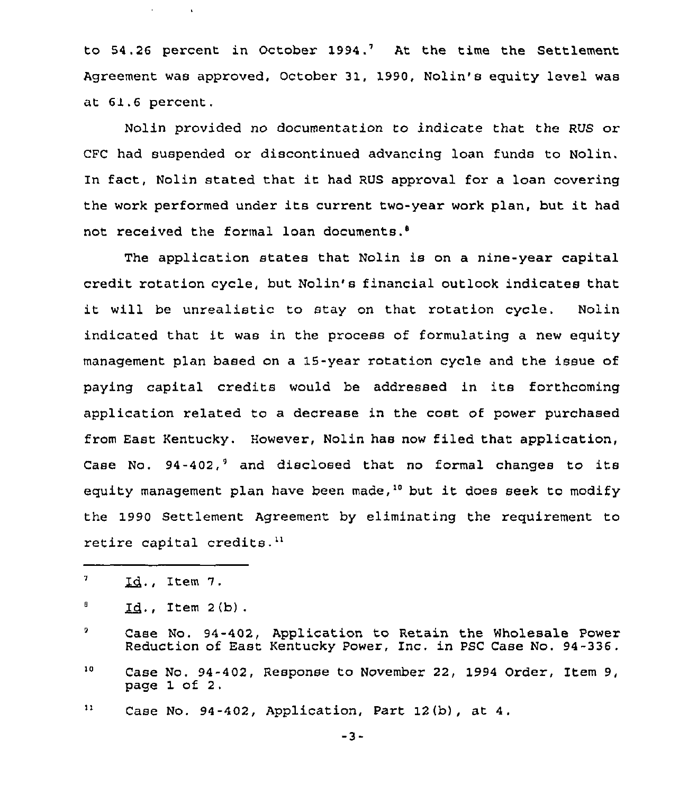to  $54.26$  percent in October 1994.<sup>7</sup> At the time the Settlement Agreement was approved, October 31, 1990, Nolin's equity level was at 61.6 percent.

Nolin provided no documentation to indicate that the RUS or CFC had suspended or discontinued advancing loan funds to Nolin. In fact, Nolin stated that it had RUS approval for <sup>a</sup> loan covering the work performed under its current two-year work plan, but it had not received the formal loan documents.<sup>8</sup>

The application states that Nolin is on a nine-year capital credit rotation cycle, but Nolin's financial outlook indicates that it will be unrealistic to stay on that rotation cycle. Nolin indicated that it was in the process of formulating <sup>a</sup> new equity management plan based on a 15-year rotation cycle and the issue of paying capital credits would be addressed in its forthcoming application related to a decrease in the cost of power purchased from East Kentucky. However, Nolin has now filed that application, Case No.  $94-402$ , and disclosed that no formal changes to its equity management plan have been made,<sup>10</sup> but it does seek to modify the 1990 Settlement Agreement by eliminating the requirement to retire capital credits.<sup>11</sup>

 $\mathbf{q}^{\mathrm{max}}$ 

 $\sim 100$ 

 $11$ Case No. 94-402, Application, Part 12 (b), at 4.

 $-3-$ 

 $\pmb{\gamma}$ Id., Item 7.

Ū.  $Id.$ , Item  $2(b)$ .

<sup>9</sup> Case No. 94-402, Application to Retain the Wholesale Power Reduction of East Kentucky Power, Inc. in PSC Case No. 94-336.

 ${\bf 10}$ Case No. 94-402, Response to November 22, 1994 Order, Item 9, page 1 of 2,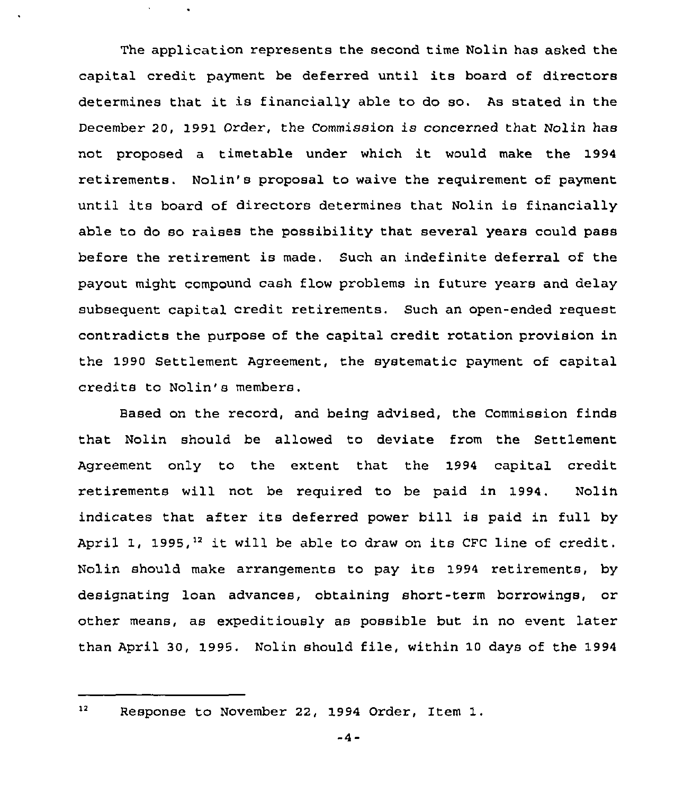The application represents the second time Nolin has asked the capital credit payment be deferred until its board of directors determines that it is financially able to do so. As stated in the December 20, 1991 Order, the Commission is concerned that Nolin has not proposed <sup>a</sup> timetable under which it would make the <sup>1994</sup> retirements. Nolin's proposal to waive the requirement of payment until its board of directors determines that Nolin is financially able to do so raises the possibility that several years could pass before the retirement is made. Such an indefinite deferral of the payout might compound cash flow problems in future years and delay subsequent capital credit retirements. Such an open-ended request contradicts the purpose of the capital credit rotation provision in the 1990 Settlement Agreement, the systematic payment of capital credits to Nolin's members.

Based on the record, and being advised, the Commission finds that Nolin should be allowed to deviate from the Settlement Agreement only to the extent that the 1994 capital credit retirements will not be required to be paid in 1994. Nolin indicates that after its deferred power bill is paid in full by April 1, 1995,<sup>12</sup> it will be able to draw on its CFC line of credit Nolin should make arrangements to pay its 1994 retirements, by designating loan advances, obtaining short-term borrowings, or other means, as expeditiously as possible but in no event later than April 30, 1995. Nolin should file, within 10 days of the 1994

 $12<sup>7</sup>$ 

Response to November 22, 1994 Order, Item 1.